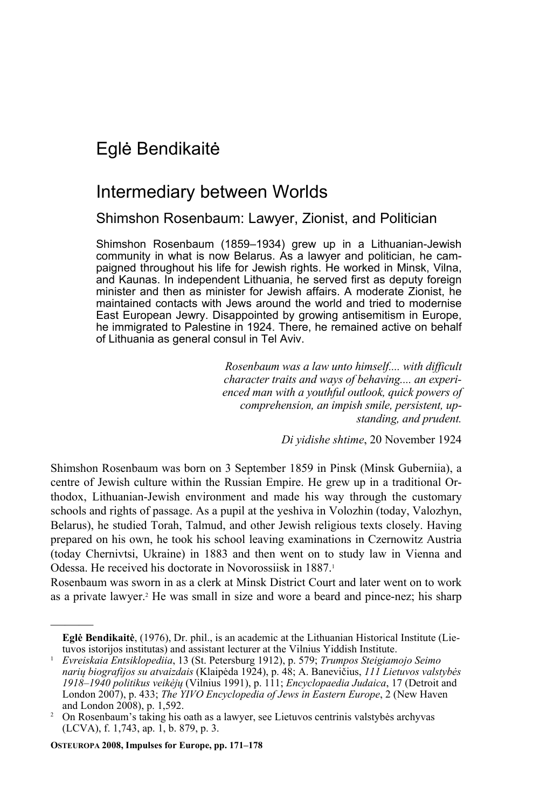## Eglė Bendikaitė

## Intermediary between Worlds

Shimshon Rosenbaum: Lawyer, Zionist, and Politician

Shimshon Rosenbaum (1859–1934) grew up in a Lithuanian-Jewish community in what is now Belarus. As a lawyer and politician, he campaigned throughout his life for Jewish rights. He worked in Minsk, Vilna, and Kaunas. In independent Lithuania, he served first as deputy foreign minister and then as minister for Jewish affairs. A moderate Zionist, he maintained contacts with Jews around the world and tried to modernise East European Jewry. Disappointed by growing antisemitism in Europe, he immigrated to Palestine in 1924. There, he remained active on behalf of Lithuania as general consul in Tel Aviv.

> *Rosenbaum was a law unto himself.... with difficult character traits and ways of behaving.... an experienced man with a youthful outlook, quick powers of comprehension, an impish smile, persistent, upstanding, and prudent.*

> > *Di yidishe shtime*, 20 November 1924

Shimshon Rosenbaum was born on 3 September 1859 in Pinsk (Minsk Guberniia), a centre of Jewish culture within the Russian Empire. He grew up in a traditional Orthodox, Lithuanian-Jewish environment and made his way through the customary schools and rights of passage. As a pupil at the yeshiva in Volozhin (today, Valozhyn, Belarus), he studied Torah, Talmud, and other Jewish religious texts closely. Having prepared on his own, he took his school leaving examinations in Czernowitz Austria (today Chernivtsi, Ukraine) in 1883 and then went on to study law in Vienna and Odessa. He received his doctorate in Novorossiisk in 1887.<sup>1</sup>

Rosenbaum was sworn in as a clerk at Minsk District Court and later went on to work as a private lawyer.<sup>2</sup> He was small in size and wore a beard and pince-nez; his sharp

**OSTEUROPA 2008, Impulses for Europe, pp. 171–178** 

**Eglė Bendikaitė**, (1976), Dr. phil., is an academic at the Lithuanian Historical Institute (Lietuvos istorijos institutas) and assistant lecturer at the Vilnius Yiddish Institute. 1 *Evreiskaia Entsiklopediia*, 13 (St. Petersburg 1912), p. 579; *Trumpos Steigiamojo Seimo* 

*narių biografijos su atvaizdais* (Klaipėda 1924), p. 48; A. Banevičius, *111 Lietuvos valstybės 1918–1940 politikus veikėjų* (Vilnius 1991), p. 111; *Encyclopaedia Judaica*, 17 (Detroit and London 2007), p. 433; *The YIVO Encyclopedia of Jews in Eastern Europe*, 2 (New Haven and London  $2008$ , p. 1,592.

On Rosenbaum's taking his oath as a lawyer, see Lietuvos centrinis valstybės archyvas (LCVA), f. 1,743, ap. 1, b. 879, p. 3.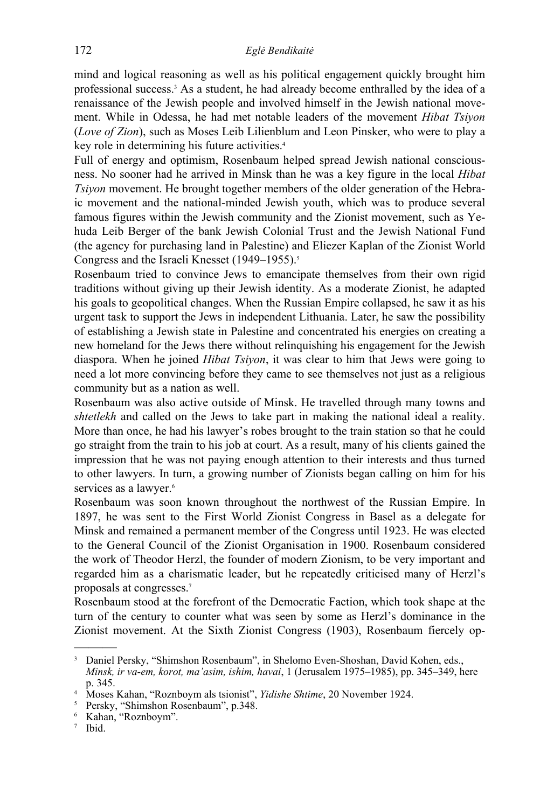mind and logical reasoning as well as his political engagement quickly brought him professional success.<sup>3</sup> As a student, he had already become enthralled by the idea of a renaissance of the Jewish people and involved himself in the Jewish national movement. While in Odessa, he had met notable leaders of the movement *Hibat Tsiyon*  (*Love of Zion*), such as Moses Leib Lilienblum and Leon Pinsker, who were to play a key role in determining his future activities.<sup>4</sup>

Full of energy and optimism, Rosenbaum helped spread Jewish national consciousness. No sooner had he arrived in Minsk than he was a key figure in the local *Hibat Tsiyon* movement. He brought together members of the older generation of the Hebraic movement and the national-minded Jewish youth, which was to produce several famous figures within the Jewish community and the Zionist movement, such as Yehuda Leib Berger of the bank Jewish Colonial Trust and the Jewish National Fund (the agency for purchasing land in Palestine) and Eliezer Kaplan of the Zionist World Congress and the Israeli Knesset (1949–1955).<sup>5</sup>

Rosenbaum tried to convince Jews to emancipate themselves from their own rigid traditions without giving up their Jewish identity. As a moderate Zionist, he adapted his goals to geopolitical changes. When the Russian Empire collapsed, he saw it as his urgent task to support the Jews in independent Lithuania. Later, he saw the possibility of establishing a Jewish state in Palestine and concentrated his energies on creating a new homeland for the Jews there without relinquishing his engagement for the Jewish diaspora. When he joined *Hibat Tsiyon*, it was clear to him that Jews were going to need a lot more convincing before they came to see themselves not just as a religious community but as a nation as well.

Rosenbaum was also active outside of Minsk. He travelled through many towns and *shtetlekh* and called on the Jews to take part in making the national ideal a reality. More than once, he had his lawyer's robes brought to the train station so that he could go straight from the train to his job at court. As a result, many of his clients gained the impression that he was not paying enough attention to their interests and thus turned to other lawyers. In turn, a growing number of Zionists began calling on him for his services as a lawyer.<sup>6</sup>

Rosenbaum was soon known throughout the northwest of the Russian Empire. In 1897, he was sent to the First World Zionist Congress in Basel as a delegate for Minsk and remained a permanent member of the Congress until 1923. He was elected to the General Council of the Zionist Organisation in 1900. Rosenbaum considered the work of Theodor Herzl, the founder of modern Zionism, to be very important and regarded him as a charismatic leader, but he repeatedly criticised many of Herzl's proposals at congresses.7

Rosenbaum stood at the forefront of the Democratic Faction, which took shape at the turn of the century to counter what was seen by some as Herzl's dominance in the Zionist movement. At the Sixth Zionist Congress (1903), Rosenbaum fiercely op-

<sup>3</sup> Daniel Persky, "Shimshon Rosenbaum", in Shelomo Even-Shoshan, David Kohen, eds.,

*Minsk, ir va-em, korot, ma'asim, ishim, havai*, 1 (Jerusalem 1975–1985), pp. 345–349, here  $\frac{p.345}{Mosees}$ 

<sup>&</sup>lt;sup>4</sup> Moses Kahan, "Roznboym als tsionist", *Yidishe Shtime*, 20 November 1924.<br><sup>5</sup> Persky "Shimshon Rosenbaum" n <sup>348</sup>

Persky, "Shimshon Rosenbaum", p.348. 6 Kahan, "Roznboym".

<sup>7</sup> Ibid.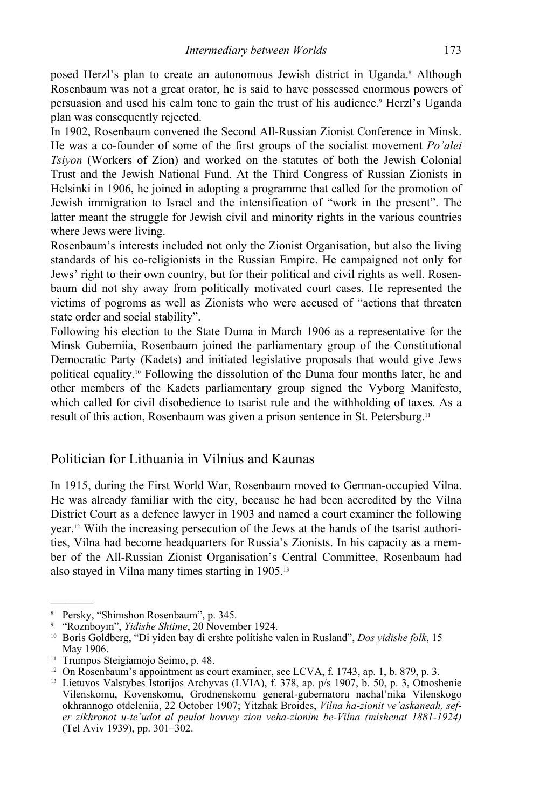posed Herzl's plan to create an autonomous Jewish district in Uganda.<sup>8</sup> Although Rosenbaum was not a great orator, he is said to have possessed enormous powers of persuasion and used his calm tone to gain the trust of his audience.<sup>9</sup> Herzl's Uganda plan was consequently rejected.

In 1902, Rosenbaum convened the Second All-Russian Zionist Conference in Minsk. He was a co-founder of some of the first groups of the socialist movement *Po'alei Tsiyon* (Workers of Zion) and worked on the statutes of both the Jewish Colonial Trust and the Jewish National Fund. At the Third Congress of Russian Zionists in Helsinki in 1906, he joined in adopting a programme that called for the promotion of Jewish immigration to Israel and the intensification of "work in the present". The latter meant the struggle for Jewish civil and minority rights in the various countries where Jews were living.

Rosenbaum's interests included not only the Zionist Organisation, but also the living standards of his co-religionists in the Russian Empire. He campaigned not only for Jews' right to their own country, but for their political and civil rights as well. Rosenbaum did not shy away from politically motivated court cases. He represented the victims of pogroms as well as Zionists who were accused of "actions that threaten state order and social stability".

Following his election to the State Duma in March 1906 as a representative for the Minsk Guberniia, Rosenbaum joined the parliamentary group of the Constitutional Democratic Party (Kadets) and initiated legislative proposals that would give Jews political equality.10 Following the dissolution of the Duma four months later, he and other members of the Kadets parliamentary group signed the Vyborg Manifesto, which called for civil disobedience to tsarist rule and the withholding of taxes. As a result of this action, Rosenbaum was given a prison sentence in St. Petersburg.11

## Politician for Lithuania in Vilnius and Kaunas

In 1915, during the First World War, Rosenbaum moved to German-occupied Vilna. He was already familiar with the city, because he had been accredited by the Vilna District Court as a defence lawyer in 1903 and named a court examiner the following year.12 With the increasing persecution of the Jews at the hands of the tsarist authorities, Vilna had become headquarters for Russia's Zionists. In his capacity as a member of the All-Russian Zionist Organisation's Central Committee, Rosenbaum had also stayed in Vilna many times starting in 1905.13

<sup>8</sup> Persky, "Shimshon Rosenbaum", p. 345.

<sup>&</sup>lt;sup>9</sup> "Roznboym", *Yidishe Shtime*, 20 November 1924.

<sup>&</sup>lt;sup>10</sup> Boris Goldberg, "Di yiden bay di ershte politishe valen in Rusland", *Dos yidishe folk*, 15 May 1906.<br><sup>11</sup> Trumpos Steigiamojo Seimo, p. 48.

<sup>&</sup>lt;sup>12</sup> On Rosenbaum's appointment as court examiner, see LCVA, f. 1743, ap. 1, b. 879, p. 3. 13 Lietuvos Valstybes Istorijos Archyvas (LVIA), f. 378, ap. p/s 1907, b. 50, p. 3, Otnoshenie

Vilenskomu, Kovenskomu, Grodnenskomu general-gubernatoru nachal'nika Vilenskogo okhrannogo otdeleniia, 22 October 1907; Yitzhak Broides, *Vilna ha-zionit ve'askaneah, sefer zikhronot u-te'udot al peulot hovvey zion veha-zionim be-Vilna (mishenat 1881-1924)* (Tel Aviv 1939), pp. 301–302.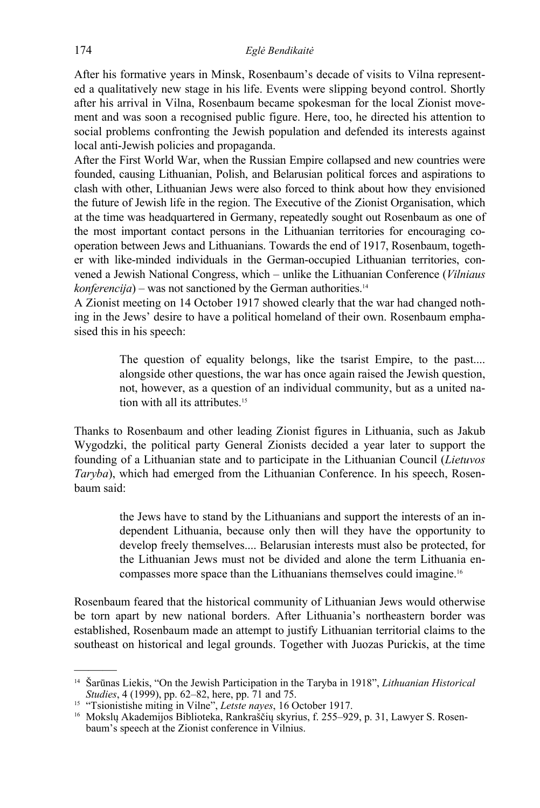After his formative years in Minsk, Rosenbaum's decade of visits to Vilna represented a qualitatively new stage in his life. Events were slipping beyond control. Shortly after his arrival in Vilna, Rosenbaum became spokesman for the local Zionist movement and was soon a recognised public figure. Here, too, he directed his attention to social problems confronting the Jewish population and defended its interests against local anti-Jewish policies and propaganda.

After the First World War, when the Russian Empire collapsed and new countries were founded, causing Lithuanian, Polish, and Belarusian political forces and aspirations to clash with other, Lithuanian Jews were also forced to think about how they envisioned the future of Jewish life in the region. The Executive of the Zionist Organisation, which at the time was headquartered in Germany, repeatedly sought out Rosenbaum as one of the most important contact persons in the Lithuanian territories for encouraging cooperation between Jews and Lithuanians. Towards the end of 1917, Rosenbaum, together with like-minded individuals in the German-occupied Lithuanian territories, convened a Jewish National Congress, which – unlike the Lithuanian Conference (*Vilniaus konferencija*) – was not sanctioned by the German authorities.<sup>14</sup>

A Zionist meeting on 14 October 1917 showed clearly that the war had changed nothing in the Jews' desire to have a political homeland of their own. Rosenbaum emphasised this in his speech:

> The question of equality belongs, like the tsarist Empire, to the past.... alongside other questions, the war has once again raised the Jewish question, not, however, as a question of an individual community, but as a united nation with all its attributes.<sup>15</sup>

Thanks to Rosenbaum and other leading Zionist figures in Lithuania, such as Jakub Wygodzki, the political party General Zionists decided a year later to support the founding of a Lithuanian state and to participate in the Lithuanian Council (*Lietuvos Taryba*), which had emerged from the Lithuanian Conference. In his speech, Rosenbaum said:

> the Jews have to stand by the Lithuanians and support the interests of an independent Lithuania, because only then will they have the opportunity to develop freely themselves.... Belarusian interests must also be protected, for the Lithuanian Jews must not be divided and alone the term Lithuania encompasses more space than the Lithuanians themselves could imagine.16

Rosenbaum feared that the historical community of Lithuanian Jews would otherwise be torn apart by new national borders. After Lithuania's northeastern border was established, Rosenbaum made an attempt to justify Lithuanian territorial claims to the southeast on historical and legal grounds. Together with Juozas Purickis, at the time

<sup>————&</sup>lt;br>————— 14 Šarūnas Liekis, "On the Jewish Participation in the Taryba in 1918", *Lithuanian Historical* 

<sup>&</sup>lt;sup>15</sup> "Tsionistishe miting in Vilne", *Letste nayes*, 16 October 1917.<br><sup>16</sup> Mokslų Akademijos Biblioteka, Rankraščių skyrius, f. 255–929, p. 31, Lawyer S. Rosenbaum's speech at the Zionist conference in Vilnius.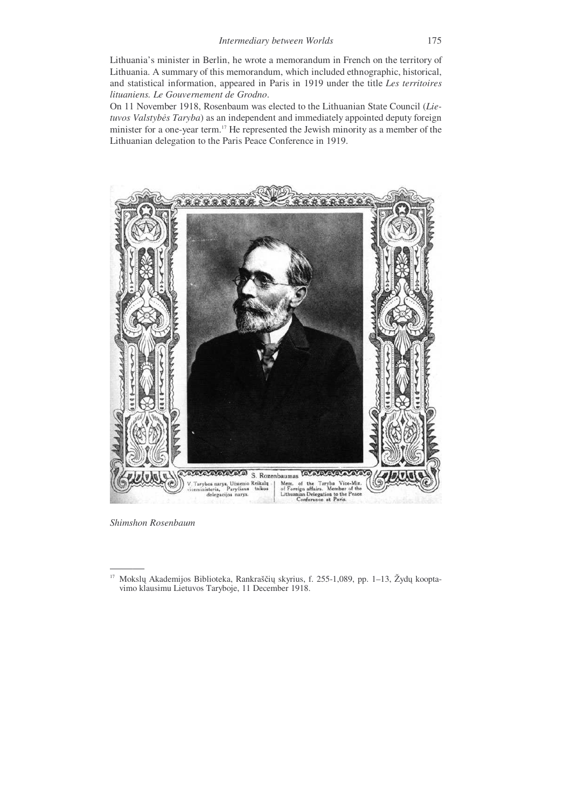Lithuania's minister in Berlin, he wrote a memorandum in French on the territory of Lithuania. A summary of this memorandum, which included ethnographic, historical, and statistical information, appeared in Paris in 1919 under the title *Les territoires lituaniens. Le Gouvernement de Grodno*.

On 11 November 1918, Rosenbaum was elected to the Lithuanian State Council (*Lietuvos Valstybės Taryba*) as an independent and immediately appointed deputy foreign minister for a one-year term.17 He represented the Jewish minority as a member of the Lithuanian delegation to the Paris Peace Conference in 1919.



*Shimshon Rosenbaum*

<sup>———</sup>  17 Mokslų Akademijos Biblioteka, Rankraščių skyrius, f. 255-1,089, pp. 1–13, Žydų kooptavimo klausimu Lietuvos Taryboje, 11 December 1918.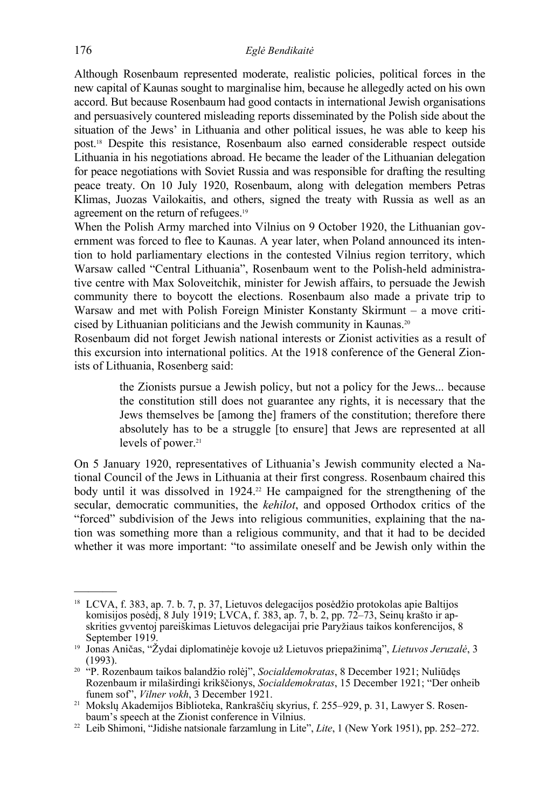Although Rosenbaum represented moderate, realistic policies, political forces in the new capital of Kaunas sought to marginalise him, because he allegedly acted on his own accord. But because Rosenbaum had good contacts in international Jewish organisations and persuasively countered misleading reports disseminated by the Polish side about the situation of the Jews' in Lithuania and other political issues, he was able to keep his post.18 Despite this resistance, Rosenbaum also earned considerable respect outside Lithuania in his negotiations abroad. He became the leader of the Lithuanian delegation for peace negotiations with Soviet Russia and was responsible for drafting the resulting peace treaty. On 10 July 1920, Rosenbaum, along with delegation members Petras Klimas, Juozas Vailokaitis, and others, signed the treaty with Russia as well as an agreement on the return of refugees.19

When the Polish Army marched into Vilnius on 9 October 1920, the Lithuanian government was forced to flee to Kaunas. A year later, when Poland announced its intention to hold parliamentary elections in the contested Vilnius region territory, which Warsaw called "Central Lithuania", Rosenbaum went to the Polish-held administrative centre with Max Soloveitchik, minister for Jewish affairs, to persuade the Jewish community there to boycott the elections. Rosenbaum also made a private trip to Warsaw and met with Polish Foreign Minister Konstanty Skirmunt – a move criticised by Lithuanian politicians and the Jewish community in Kaunas.20

Rosenbaum did not forget Jewish national interests or Zionist activities as a result of this excursion into international politics. At the 1918 conference of the General Zionists of Lithuania, Rosenberg said:

> the Zionists pursue a Jewish policy, but not a policy for the Jews... because the constitution still does not guarantee any rights, it is necessary that the Jews themselves be [among the] framers of the constitution; therefore there absolutely has to be a struggle [to ensure] that Jews are represented at all levels of power.<sup>21</sup>

On 5 January 1920, representatives of Lithuania's Jewish community elected a National Council of the Jews in Lithuania at their first congress. Rosenbaum chaired this body until it was dissolved in 1924.<sup>22</sup> He campaigned for the strengthening of the secular, democratic communities, the *kehilot*, and opposed Orthodox critics of the "forced" subdivision of the Jews into religious communities, explaining that the nation was something more than a religious community, and that it had to be decided whether it was more important: "to assimilate oneself and be Jewish only within the

<sup>18</sup> LCVA, f. 383, ap. 7. b. 7, p. 37, Lietuvos delegacijos posėdžio protokolas apie Baltijos komisijos posėdį, 8 July 1919; LVCA, f. 383, ap. 7, b. 2, pp. 72–73, Seinų krašto ir apskrities gvventoj pareiškimas Lietuvos delegacijai prie Paryžiaus taikos konferencijos, 8

September 1919.<br><sup>19</sup> Jonas Aničas, "Žydai diplomatinėje kovoje už Lietuvos priepažinimą", *Lietuvos Jeruzalė*, 3<br>(1993).

<sup>&</sup>lt;sup>20 "</sup>P. Rozenbaum taikos balandžio rolėj", *Socialdemokratas*, 8 December 1921; Nuliūdęs Rozenbaum ir milaširdingi krikščionys, *Socialdemokratas*, 15 December 1921; "Der onheib

<sup>&</sup>lt;sup>21</sup> Mokslų Akademijos Biblioteka, Rankraščių skyrius, f. 255–929, p. 31, Lawyer S. Rosen-baum's speech at the Zionist conference in Vilnius.

<sup>&</sup>lt;sup>22</sup> Leib Shimoni, "Jidishe natsionale farzamlung in Lite", *Lite*, 1 (New York 1951), pp. 252–272.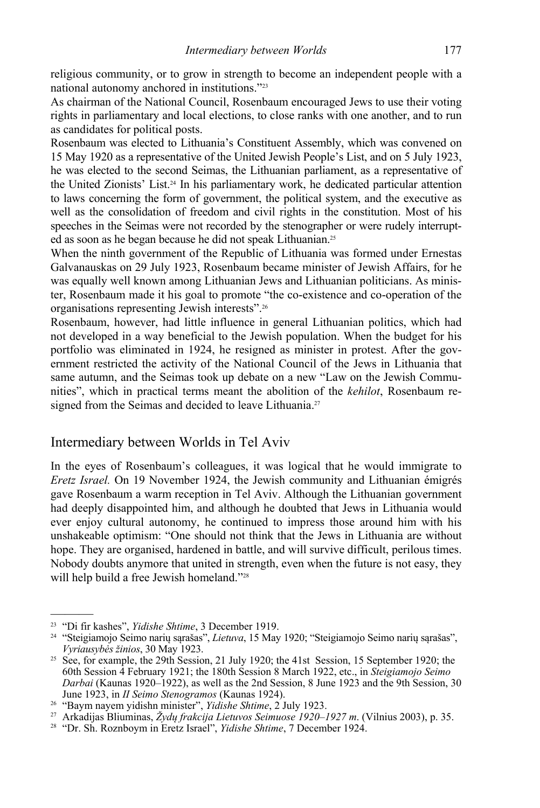religious community, or to grow in strength to become an independent people with a national autonomy anchored in institutions."23

As chairman of the National Council, Rosenbaum encouraged Jews to use their voting rights in parliamentary and local elections, to close ranks with one another, and to run as candidates for political posts.

Rosenbaum was elected to Lithuania's Constituent Assembly, which was convened on 15 May 1920 as a representative of the United Jewish People's List, and on 5 July 1923, he was elected to the second Seimas, the Lithuanian parliament, as a representative of the United Zionists' List.24 In his parliamentary work, he dedicated particular attention to laws concerning the form of government, the political system, and the executive as well as the consolidation of freedom and civil rights in the constitution. Most of his speeches in the Seimas were not recorded by the stenographer or were rudely interrupted as soon as he began because he did not speak Lithuanian.25

When the ninth government of the Republic of Lithuania was formed under Ernestas Galvanauskas on 29 July 1923, Rosenbaum became minister of Jewish Affairs, for he was equally well known among Lithuanian Jews and Lithuanian politicians. As minister, Rosenbaum made it his goal to promote "the co-existence and co-operation of the organisations representing Jewish interests".26

Rosenbaum, however, had little influence in general Lithuanian politics, which had not developed in a way beneficial to the Jewish population. When the budget for his portfolio was eliminated in 1924, he resigned as minister in protest. After the government restricted the activity of the National Council of the Jews in Lithuania that same autumn, and the Seimas took up debate on a new "Law on the Jewish Communities", which in practical terms meant the abolition of the *kehilot*, Rosenbaum resigned from the Seimas and decided to leave Lithuania.<sup>27</sup>

## Intermediary between Worlds in Tel Aviv

In the eyes of Rosenbaum's colleagues, it was logical that he would immigrate to *Eretz Israel.* On 19 November 1924, the Jewish community and Lithuanian émigrés gave Rosenbaum a warm reception in Tel Aviv. Although the Lithuanian government had deeply disappointed him, and although he doubted that Jews in Lithuania would ever enjoy cultural autonomy, he continued to impress those around him with his unshakeable optimism: "One should not think that the Jews in Lithuania are without hope. They are organised, hardened in battle, and will survive difficult, perilous times. Nobody doubts anymore that united in strength, even when the future is not easy, they will help build a free Jewish homeland."<sup>28</sup>

<sup>23 &</sup>quot;Di fir kashes", *Yidishe Shtime*, 3 December 1919. 24 "Steigiamojo Seimo narių sąrašas", *Lietuva*, 15 May 1920; "Steigiamojo Seimo narių sąrašas",

*Vyriausybės žinios*, 30 May 1923. 25 See, for example, the 29th Session, 21 July 1920; the 41st Session, 15 September 1920; the 60th Session 4 February 1921; the 180th Session 8 March 1922, etc., in *Steigiamojo Seimo Darbai* (Kaunas 1920–1922), as well as the 2nd Session, 8 June 1923 and the 9th Session, 30 June 1923, in *II Seimo Stenogramos* (Kaunas 1924).

<sup>&</sup>lt;sup>26</sup> "Baym nayem yidishn minister", *Yidishe Shtime*, 2 July 1923.<br><sup>27</sup> Arkadijas Bliuminas, Žydų frakcija Lietuvos Seimuose 1920–1927 m. (Vilnius 2003), p. 35.<br><sup>28</sup> "Dr. Sh. Roznboym in Eretz Israel", *Yidishe Shtime*, 7